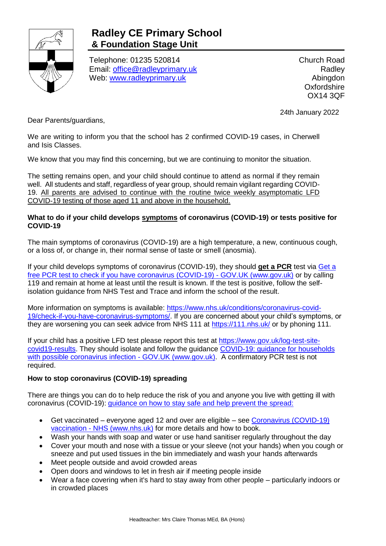

## **Radley CE Primary School & Foundation Stage Unit**

Telephone: 01235 520814 Email: [office@radleyprimary.uk](mailto:office@radleyprimary.uk) Web: [www.radleyprimary.uk](http://www.radleyprimary.uk/)

Church Road **Radley** Abingdon **Oxfordshire** OX14 3QF

24th January 2022

Dear Parents/guardians,

We are writing to inform you that the school has 2 confirmed COVID-19 cases, in Cherwell and Isis Classes.

We know that you may find this concerning, but we are continuing to monitor the situation.

The setting remains open, and your child should continue to attend as normal if they remain well. All students and staff, regardless of year group, should remain vigilant regarding COVID-19. All parents are advised to continue with the routine twice weekly asymptomatic LFD COVID-19 testing of those aged 11 and above in the household.

## **What to do if your child develops symptoms of coronavirus (COVID-19) or tests positive for COVID-19**

The main symptoms of coronavirus (COVID-19) are a high temperature, a new, continuous cough, or a loss of, or change in, their normal sense of taste or smell (anosmia).

If your child develops symptoms of coronavirus (COVID-19), they should **get a PCR** test via [Get a](https://www.gov.uk/get-coronavirus-test)  [free PCR test to check if you have coronavirus \(COVID-19\) -](https://www.gov.uk/get-coronavirus-test) GOV.UK (www.gov.uk) or by calling 119 and remain at home at least until the result is known. If the test is positive, follow the selfisolation guidance from NHS Test and Trace and inform the school of the result.

More information on symptoms is available: [https://www.nhs.uk/conditions/coronavirus-covid-](https://www.nhs.uk/conditions/coronavirus-covid-19/check-if-you-have-coronavirus-symptoms/)[19/check-if-you-have-coronavirus-symptoms/.](https://www.nhs.uk/conditions/coronavirus-covid-19/check-if-you-have-coronavirus-symptoms/) If you are concerned about your child's symptoms, or they are worsening you can seek advice from NHS 111 at<https://111.nhs.uk/> or by phoning 111.

If your child has a positive LFD test please report this test at [https://www.gov.uk/log-test-site](https://www.gov.uk/log-test-site-covid19-results)[covid19-results.](https://www.gov.uk/log-test-site-covid19-results) They should isolate and follow the guidance [COVID-19: guidance for households](https://www.gov.uk/government/publications/covid-19-stay-at-home-guidance)  [with possible coronavirus infection -](https://www.gov.uk/government/publications/covid-19-stay-at-home-guidance) GOV.UK (www.gov.uk). A confirmatory PCR test is not required.

## **How to stop coronavirus (COVID-19) spreading**

There are things you can do to help reduce the risk of you and anyone you live with getting ill with coronavirus (COVID-19): [guidance on how to stay safe and help prevent the spread:](https://www.gov.uk/guidance/covid-19-coronavirus-restrictions-what-you-can-and-cannot-do#keeping-yourself-and-others-safe)

- Get vaccinated everyone aged 12 and over are eligible see [Coronavirus \(COVID-19\)](https://www.nhs.uk/conditions/coronavirus-covid-19/coronavirus-vaccination/)  vaccination - [NHS \(www.nhs.uk\)](https://www.nhs.uk/conditions/coronavirus-covid-19/coronavirus-vaccination/) for more details and how to book.
- Wash your hands with soap and water or use hand sanitiser regularly throughout the day
- Cover your mouth and nose with a tissue or your sleeve (not your hands) when you cough or sneeze and put used tissues in the bin immediately and wash your hands afterwards
- Meet people outside and avoid crowded areas
- Open doors and windows to let in fresh air if meeting people inside
- Wear a face covering when it's hard to stay away from other people particularly indoors or in crowded places